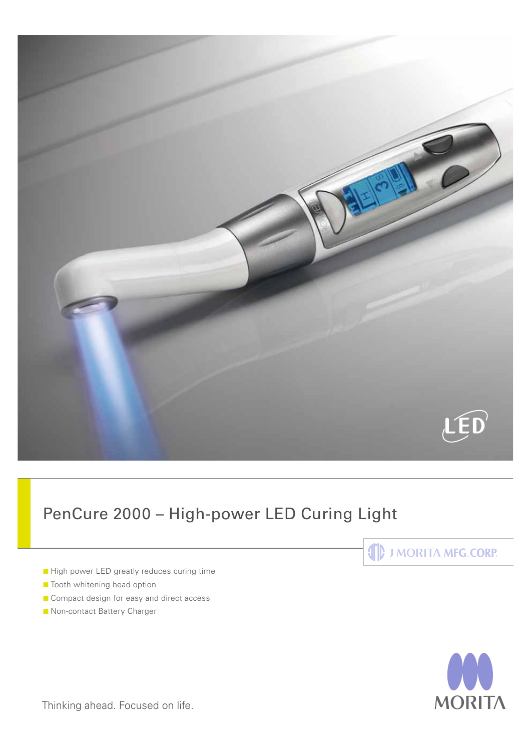

# PenCure 2000 – High-power LED Curing Light

- High power LED greatly reduces curing time
- **C** Tooth whitening head option
- Compact design for easy and direct access
- **C** Non-contact Battery Charger





Thinking ahead. Focused on life.